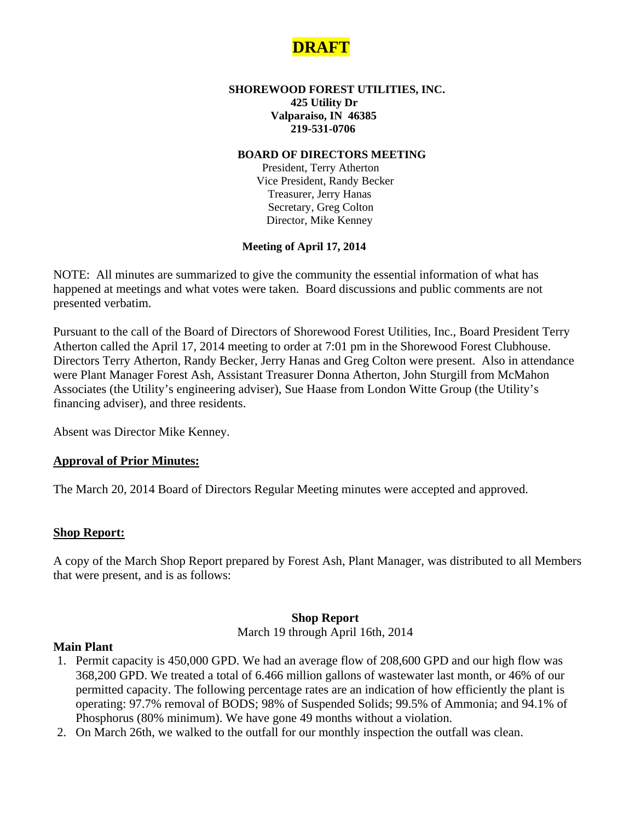

#### **SHOREWOOD FOREST UTILITIES, INC. 425 Utility Dr Valparaiso, IN 46385 219-531-0706**

#### **BOARD OF DIRECTORS MEETING**

 President, Terry Atherton Vice President, Randy Becker Treasurer, Jerry Hanas Secretary, Greg Colton Director, Mike Kenney

#### **Meeting of April 17, 2014**

NOTE: All minutes are summarized to give the community the essential information of what has happened at meetings and what votes were taken. Board discussions and public comments are not presented verbatim.

Pursuant to the call of the Board of Directors of Shorewood Forest Utilities, Inc., Board President Terry Atherton called the April 17, 2014 meeting to order at 7:01 pm in the Shorewood Forest Clubhouse. Directors Terry Atherton, Randy Becker, Jerry Hanas and Greg Colton were present. Also in attendance were Plant Manager Forest Ash, Assistant Treasurer Donna Atherton, John Sturgill from McMahon Associates (the Utility's engineering adviser), Sue Haase from London Witte Group (the Utility's financing adviser), and three residents.

Absent was Director Mike Kenney.

### **Approval of Prior Minutes:**

The March 20, 2014 Board of Directors Regular Meeting minutes were accepted and approved.

### **Shop Report:**

A copy of the March Shop Report prepared by Forest Ash, Plant Manager, was distributed to all Members that were present, and is as follows:

#### **Shop Report**

March 19 through April 16th, 2014

#### **Main Plant**

- 1. Permit capacity is 450,000 GPD. We had an average flow of 208,600 GPD and our high flow was 368,200 GPD. We treated a total of 6.466 million gallons of wastewater last month, or 46% of our permitted capacity. The following percentage rates are an indication of how efficiently the plant is operating: 97.7% removal of BODS; 98% of Suspended Solids; 99.5% of Ammonia; and 94.1% of Phosphorus (80% minimum). We have gone 49 months without a violation.
- 2. On March 26th, we walked to the outfall for our monthly inspection the outfall was clean.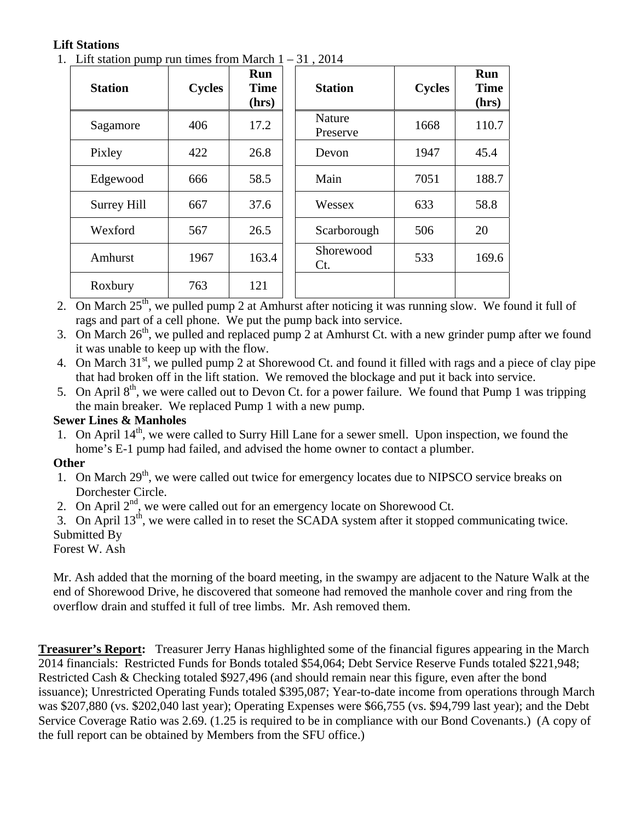# **Lift Stations**

1. Lift station pump run times from March  $1 - 31$ , 2014

| <b>Station</b> | <b>Cycles</b> | Run<br><b>Time</b><br>(hrs) | <b>Station</b>      | <b>Cycles</b> | <b>Run</b><br><b>Time</b><br>(hrs) |
|----------------|---------------|-----------------------------|---------------------|---------------|------------------------------------|
| Sagamore       | 406           | 17.2                        | Nature<br>Preserve  | 1668          | 110.7                              |
| Pixley         | 422           | 26.8                        | Devon               | 1947          | 45.4                               |
| Edgewood       | 666           | 58.5                        | Main                | 7051          | 188.7                              |
| Surrey Hill    | 667           | 37.6                        | Wessex              | 633           | 58.8                               |
| Wexford        | 567           | 26.5                        | Scarborough         | 506           | 20                                 |
| Amhurst        | 1967          | 163.4                       | Shorewood<br>$Ct$ . | 533           | 169.6                              |
| Roxbury        | 763           | 121                         |                     |               |                                    |

2. On March  $25<sup>th</sup>$ , we pulled pump 2 at Amhurst after noticing it was running slow. We found it full of rags and part of a cell phone. We put the pump back into service.

3. On March  $26<sup>th</sup>$ , we pulled and replaced pump 2 at Amhurst Ct. with a new grinder pump after we found it was unable to keep up with the flow.

4. On March 31<sup>st</sup>, we pulled pump 2 at Shorewood Ct. and found it filled with rags and a piece of clay pipe that had broken off in the lift station. We removed the blockage and put it back into service.

5. On April  $8<sup>th</sup>$ , we were called out to Devon Ct. for a power failure. We found that Pump 1 was tripping the main breaker. We replaced Pump 1 with a new pump.

### **Sewer Lines & Manholes**

1. On April  $14<sup>th</sup>$ , we were called to Surry Hill Lane for a sewer smell. Upon inspection, we found the home's E-1 pump had failed, and advised the home owner to contact a plumber.

### **Other**

- 1. On March 29<sup>th</sup>, we were called out twice for emergency locates due to NIPSCO service breaks on Dorchester Circle.
- 2. On April  $2<sup>nd</sup>$ , we were called out for an emergency locate on Shorewood Ct.

3. On April  $13<sup>th</sup>$ , we were called in to reset the SCADA system after it stopped communicating twice. Submitted By

Forest W. Ash

Mr. Ash added that the morning of the board meeting, in the swampy are adjacent to the Nature Walk at the end of Shorewood Drive, he discovered that someone had removed the manhole cover and ring from the overflow drain and stuffed it full of tree limbs. Mr. Ash removed them.

**Treasurer's Report:** Treasurer Jerry Hanas highlighted some of the financial figures appearing in the March 2014 financials: Restricted Funds for Bonds totaled \$54,064; Debt Service Reserve Funds totaled \$221,948; Restricted Cash & Checking totaled \$927,496 (and should remain near this figure, even after the bond issuance); Unrestricted Operating Funds totaled \$395,087; Year-to-date income from operations through March was \$207,880 (vs. \$202,040 last year); Operating Expenses were \$66,755 (vs. \$94,799 last year); and the Debt Service Coverage Ratio was 2.69. (1.25 is required to be in compliance with our Bond Covenants.) (A copy of the full report can be obtained by Members from the SFU office.)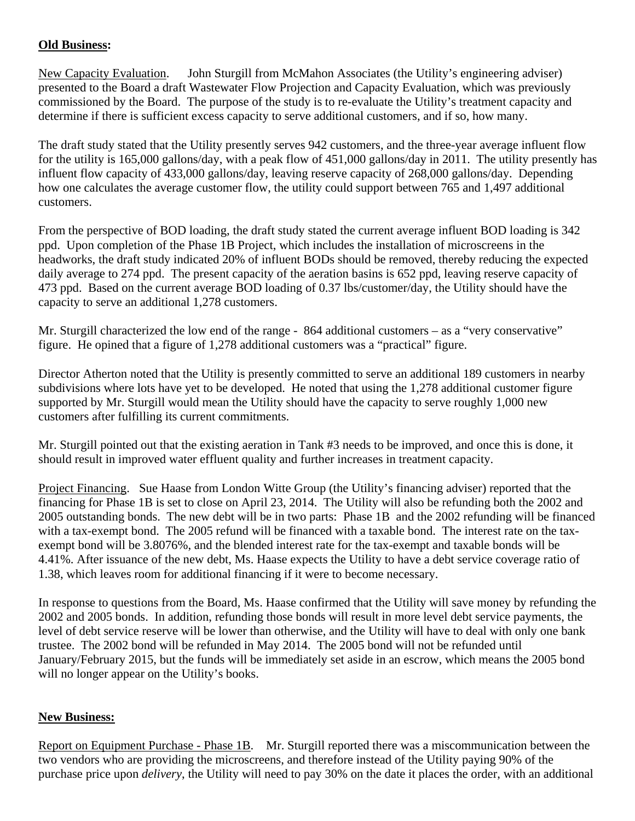# **Old Business:**

New Capacity Evaluation. John Sturgill from McMahon Associates (the Utility's engineering adviser) presented to the Board a draft Wastewater Flow Projection and Capacity Evaluation, which was previously commissioned by the Board. The purpose of the study is to re-evaluate the Utility's treatment capacity and determine if there is sufficient excess capacity to serve additional customers, and if so, how many.

The draft study stated that the Utility presently serves 942 customers, and the three-year average influent flow for the utility is 165,000 gallons/day, with a peak flow of 451,000 gallons/day in 2011. The utility presently has influent flow capacity of 433,000 gallons/day, leaving reserve capacity of 268,000 gallons/day. Depending how one calculates the average customer flow, the utility could support between 765 and 1,497 additional customers.

From the perspective of BOD loading, the draft study stated the current average influent BOD loading is 342 ppd. Upon completion of the Phase 1B Project, which includes the installation of microscreens in the headworks, the draft study indicated 20% of influent BODs should be removed, thereby reducing the expected daily average to 274 ppd. The present capacity of the aeration basins is 652 ppd, leaving reserve capacity of 473 ppd. Based on the current average BOD loading of 0.37 lbs/customer/day, the Utility should have the capacity to serve an additional 1,278 customers.

Mr. Sturgill characterized the low end of the range - 864 additional customers – as a "very conservative" figure. He opined that a figure of 1,278 additional customers was a "practical" figure.

Director Atherton noted that the Utility is presently committed to serve an additional 189 customers in nearby subdivisions where lots have yet to be developed. He noted that using the 1,278 additional customer figure supported by Mr. Sturgill would mean the Utility should have the capacity to serve roughly 1,000 new customers after fulfilling its current commitments.

Mr. Sturgill pointed out that the existing aeration in Tank #3 needs to be improved, and once this is done, it should result in improved water effluent quality and further increases in treatment capacity.

Project Financing. Sue Haase from London Witte Group (the Utility's financing adviser) reported that the financing for Phase 1B is set to close on April 23, 2014. The Utility will also be refunding both the 2002 and 2005 outstanding bonds. The new debt will be in two parts: Phase 1B and the 2002 refunding will be financed with a tax-exempt bond. The 2005 refund will be financed with a taxable bond. The interest rate on the taxexempt bond will be 3.8076%, and the blended interest rate for the tax-exempt and taxable bonds will be 4.41%. After issuance of the new debt, Ms. Haase expects the Utility to have a debt service coverage ratio of 1.38, which leaves room for additional financing if it were to become necessary.

In response to questions from the Board, Ms. Haase confirmed that the Utility will save money by refunding the 2002 and 2005 bonds. In addition, refunding those bonds will result in more level debt service payments, the level of debt service reserve will be lower than otherwise, and the Utility will have to deal with only one bank trustee. The 2002 bond will be refunded in May 2014. The 2005 bond will not be refunded until January/February 2015, but the funds will be immediately set aside in an escrow, which means the 2005 bond will no longer appear on the Utility's books.

### **New Business:**

Report on Equipment Purchase - Phase 1B. Mr. Sturgill reported there was a miscommunication between the two vendors who are providing the microscreens, and therefore instead of the Utility paying 90% of the purchase price upon *delivery*, the Utility will need to pay 30% on the date it places the order, with an additional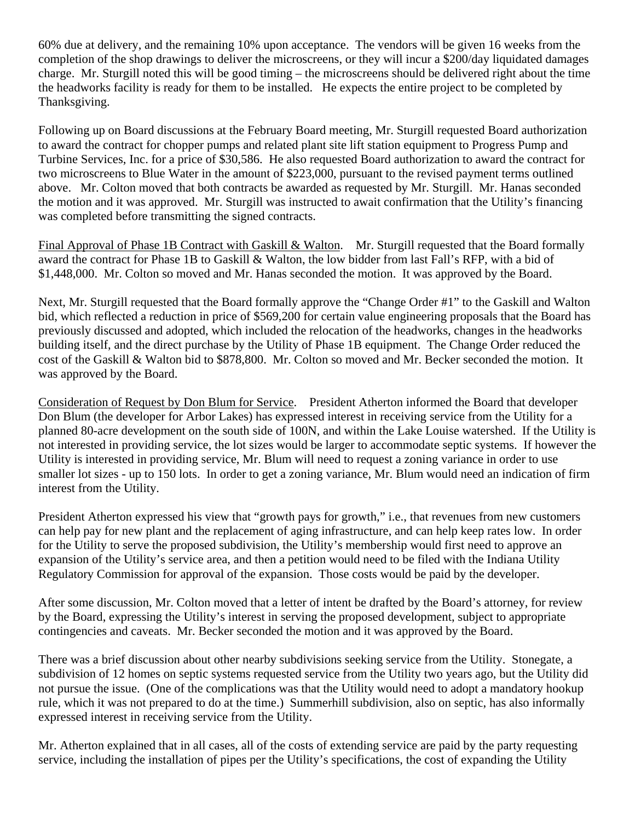60% due at delivery, and the remaining 10% upon acceptance. The vendors will be given 16 weeks from the completion of the shop drawings to deliver the microscreens, or they will incur a \$200/day liquidated damages charge. Mr. Sturgill noted this will be good timing – the microscreens should be delivered right about the time the headworks facility is ready for them to be installed. He expects the entire project to be completed by Thanksgiving.

Following up on Board discussions at the February Board meeting, Mr. Sturgill requested Board authorization to award the contract for chopper pumps and related plant site lift station equipment to Progress Pump and Turbine Services, Inc. for a price of \$30,586. He also requested Board authorization to award the contract for two microscreens to Blue Water in the amount of \$223,000, pursuant to the revised payment terms outlined above. Mr. Colton moved that both contracts be awarded as requested by Mr. Sturgill. Mr. Hanas seconded the motion and it was approved. Mr. Sturgill was instructed to await confirmation that the Utility's financing was completed before transmitting the signed contracts.

Final Approval of Phase 1B Contract with Gaskill & Walton. Mr. Sturgill requested that the Board formally award the contract for Phase 1B to Gaskill & Walton, the low bidder from last Fall's RFP, with a bid of \$1,448,000. Mr. Colton so moved and Mr. Hanas seconded the motion. It was approved by the Board.

Next, Mr. Sturgill requested that the Board formally approve the "Change Order #1" to the Gaskill and Walton bid, which reflected a reduction in price of \$569,200 for certain value engineering proposals that the Board has previously discussed and adopted, which included the relocation of the headworks, changes in the headworks building itself, and the direct purchase by the Utility of Phase 1B equipment. The Change Order reduced the cost of the Gaskill & Walton bid to \$878,800. Mr. Colton so moved and Mr. Becker seconded the motion. It was approved by the Board.

Consideration of Request by Don Blum for Service. President Atherton informed the Board that developer Don Blum (the developer for Arbor Lakes) has expressed interest in receiving service from the Utility for a planned 80-acre development on the south side of 100N, and within the Lake Louise watershed. If the Utility is not interested in providing service, the lot sizes would be larger to accommodate septic systems. If however the Utility is interested in providing service, Mr. Blum will need to request a zoning variance in order to use smaller lot sizes - up to 150 lots. In order to get a zoning variance, Mr. Blum would need an indication of firm interest from the Utility.

President Atherton expressed his view that "growth pays for growth," i.e., that revenues from new customers can help pay for new plant and the replacement of aging infrastructure, and can help keep rates low. In order for the Utility to serve the proposed subdivision, the Utility's membership would first need to approve an expansion of the Utility's service area, and then a petition would need to be filed with the Indiana Utility Regulatory Commission for approval of the expansion. Those costs would be paid by the developer.

After some discussion, Mr. Colton moved that a letter of intent be drafted by the Board's attorney, for review by the Board, expressing the Utility's interest in serving the proposed development, subject to appropriate contingencies and caveats. Mr. Becker seconded the motion and it was approved by the Board.

There was a brief discussion about other nearby subdivisions seeking service from the Utility. Stonegate, a subdivision of 12 homes on septic systems requested service from the Utility two years ago, but the Utility did not pursue the issue. (One of the complications was that the Utility would need to adopt a mandatory hookup rule, which it was not prepared to do at the time.) Summerhill subdivision, also on septic, has also informally expressed interest in receiving service from the Utility.

Mr. Atherton explained that in all cases, all of the costs of extending service are paid by the party requesting service, including the installation of pipes per the Utility's specifications, the cost of expanding the Utility